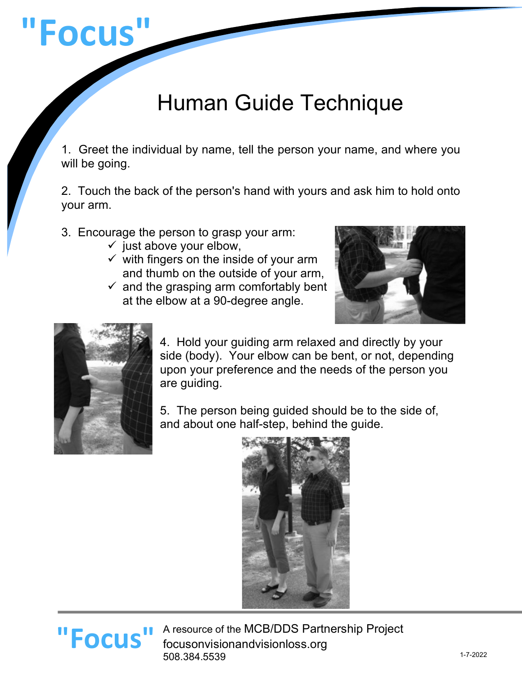# **"Focus"**

# Human Guide Technique

1. Greet the individual by name, tell the person your name, and where you will be going.

2. Touch the back of the person's hand with yours and ask him to hold onto your arm.

- 3. Encourage the person to grasp your arm:
	- $\checkmark$  just above your elbow,
	- $\checkmark$  with fingers on the inside of your arm and thumb on the outside of your arm,
	- $\checkmark$  and the grasping arm comfortably bent at the elbow at a 90-degree angle.





4. Hold your guiding arm relaxed and directly by your side (body). Your elbow can be bent, or not, depending upon your preference and the needs of the person you are guiding.

5. The person being guided should be to the side of, and about one half-step, behind the guide.



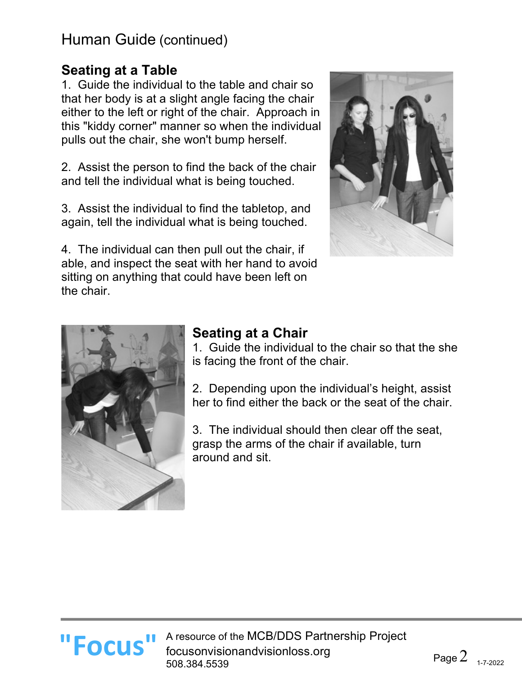### **Seating at a Table**

1. Guide the individual to the table and chair so that her body is at a slight angle facing the chair either to the left or right of the chair. Approach in this "kiddy corner" manner so when the individual pulls out the chair, she won't bump herself.

2. Assist the person to find the back of the chair and tell the individual what is being touched.

3. Assist the individual to find the tabletop, and again, tell the individual what is being touched.

4. The individual can then pull out the chair, if able, and inspect the seat with her hand to avoid sitting on anything that could have been left on the chair.





# **Seating at a Chair**

1. Guide the individual to the chair so that the she is facing the front of the chair.

2. Depending upon the individual's height, assist her to find either the back or the seat of the chair.

3. The individual should then clear off the seat, grasp the arms of the chair if available, turn around and sit.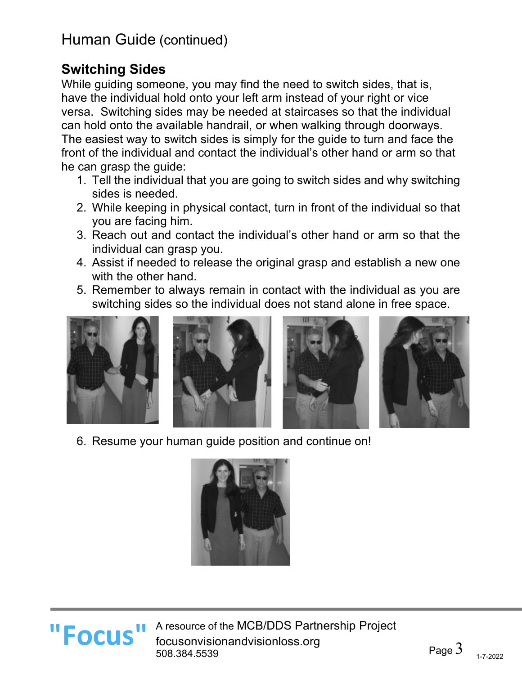# **Switching Sides**

While guiding someone, you may find the need to switch sides, that is, have the individual hold onto your left arm instead of your right or vice versa. Switching sides may be needed at staircases so that the individual can hold onto the available handrail, or when walking through doorways. The easiest way to switch sides is simply for the guide to turn and face the front of the individual and contact the individual's other hand or arm so that he can grasp the guide:

- 1. Tell the individual that you are going to switch sides and why switching sides is needed.
- 2. While keeping in physical contact, turn in front of the individual so that you are facing him.
- 3. Reach out and contact the individual's other hand or arm so that the individual can grasp you.
- 4. Assist if needed to release the original grasp and establish a new one with the other hand.
- 5. Remember to always remain in contact with the individual as you are switching sides so the individual does not stand alone in free space.









6. Resume your human guide position and continue on!





A resource of the MCB/DDS Partnership Project **"Focus "** A resource of the MCB/DDS Partn focusonvisionandvisionloss.org 508.384.5539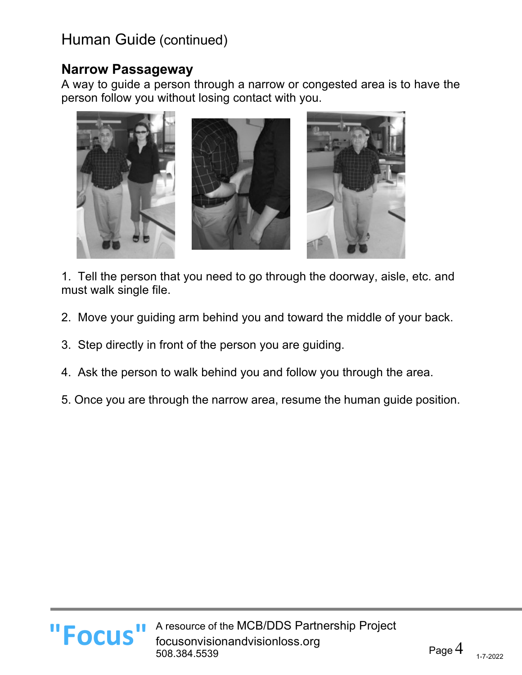#### **Narrow Passageway**

**"Focus"**

A way to guide a person through a narrow or congested area is to have the person follow you without losing contact with you.



1. Tell the person that you need to go through the doorway, aisle, etc. and must walk single file.

- 2. Move your guiding arm behind you and toward the middle of your back.
- 3. Step directly in front of the person you are guiding.
- 4. Ask the person to walk behind you and follow you through the area.
- 5. Once you are through the narrow area, resume the human guide position.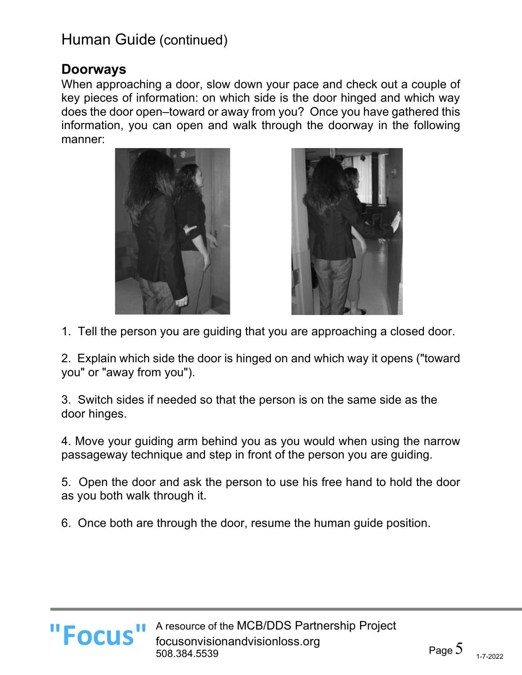#### **Doorways**

When approaching a door, slow down your pace and check out a couple of key pieces of information: on which side is the door hinged and which way does the door open–toward or away from you? Once you have gathered this information, you can open and walk through the doorway in the following manner:





1. Tell the person you are guiding that you are approaching a closed door.

2. Explain which side the door is hinged on and which way it opens ("toward you" or "away from you").

3. Switch sides if needed so that the person is on the same side as the door hinges.

4. Move your guiding arm behind you as you would when using the narrow passageway technique and step in front of the person you are guiding.

5. Open the door and ask the person to use his free hand to hold the door as you both walk through it.

6. Once both are through the door, resume the human guide position.

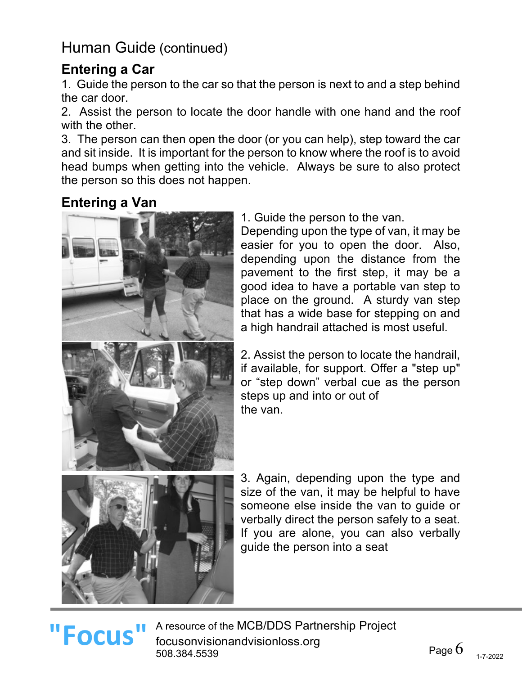## **Entering a Car**

1. Guide the person to the car so that the person is next to and a step behind the car door.

2. Assist the person to locate the door handle with one hand and the roof with the other.

3. The person can then open the door (or you can help), step toward the car and sit inside. It is important for the person to know where the roof is to avoid head bumps when getting into the vehicle. Always be sure to also protect the person so this does not happen.

## **Entering a Van**



1. Guide the person to the van.

Depending upon the type of van, it may be easier for you to open the door. Also, depending upon the distance from the pavement to the first step, it may be a good idea to have a portable van step to place on the ground. A sturdy van step that has a wide base for stepping on and a high handrail attached is most useful.

2. Assist the person to locate the handrail, if available, for support. Offer a "step up" or "step down" verbal cue as the person steps up and into or out of the van.

3. Again, depending upon the type and size of the van, it may be helpful to have someone else inside the van to guide or verbally direct the person safely to a seat. If you are alone, you can also verbally guide the person into a seat

# **"Focus"**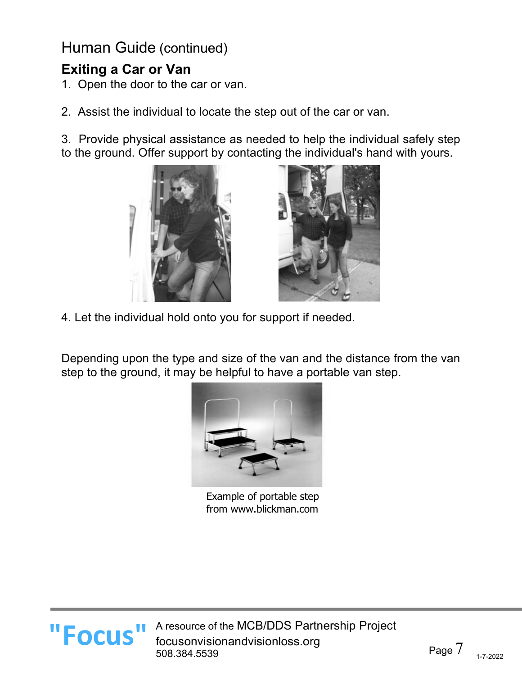# **Exiting a Car or Van**

- 1. Open the door to the car or van.
- 2. Assist the individual to locate the step out of the car or van.

3. Provide physical assistance as needed to help the individual safely step to the ground. Offer support by contacting the individual's hand with yours.





4. Let the individual hold onto you for support if needed.

Depending upon the type and size of the van and the distance from the van step to the ground, it may be helpful to have a portable van step.



Example of portable step from www.blickman.com